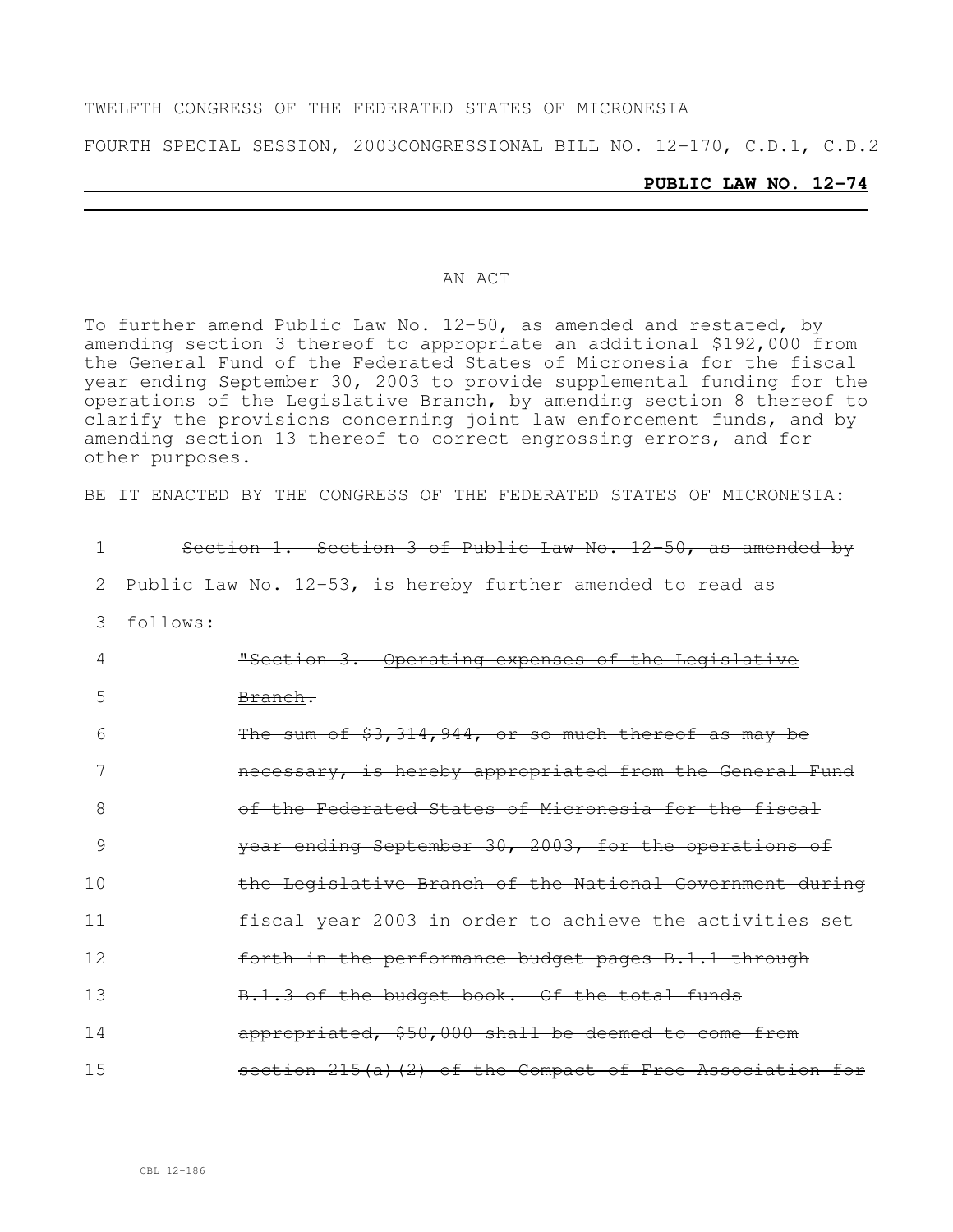#### TWELFTH CONGRESS OF THE FEDERATED STATES OF MICRONESIA

FOURTH SPECIAL SESSION, 2003CONGRESSIONAL BILL NO. 12-170, C.D.1, C.D.2

#### **PUBLIC LAW NO. 12-74**

#### AN ACT

To further amend Public Law No. 12-50, as amended and restated, by amending section 3 thereof to appropriate an additional \$192,000 from the General Fund of the Federated States of Micronesia for the fiscal year ending September 30, 2003 to provide supplemental funding for the operations of the Legislative Branch, by amending section 8 thereof to clarify the provisions concerning joint law enforcement funds, and by amending section 13 thereof to correct engrossing errors, and for other purposes.

BE IT ENACTED BY THE CONGRESS OF THE FEDERATED STATES OF MICRONESIA:

|     | Section 1. Section 3 of Public Law No. 12-50, as amended by |
|-----|-------------------------------------------------------------|
| 2   | Public Law No. 12-53, is hereby further amended to read as  |
| 3   | follows:                                                    |
| 4   | "Section 3. Operating expenses of the Legislative           |
| 5   | <del>Branch.</del>                                          |
| 6   | The sum of \$3,314,944, or so much thereof as may be        |
| 7   | necessary, is hereby appropriated from the General Fund     |
| 8   | of the Federated States of Micronesia for the fiscal        |
| 9   | year ending September 30, 2003, for the operations of       |
| 10  | the Legislative Branch of the National Government during    |
| 11  | fiscal year 2003 in order to achieve the activities set     |
| 12  | forth in the performance budget pages B.1.1 through         |
| 13  | B.1.3 of the budget book. Of the total funds                |
| 14  | appropriated, \$50,000 shall be deemed to come from         |
| 1.5 | section 215(a)(2) of the Compact of Free Association for    |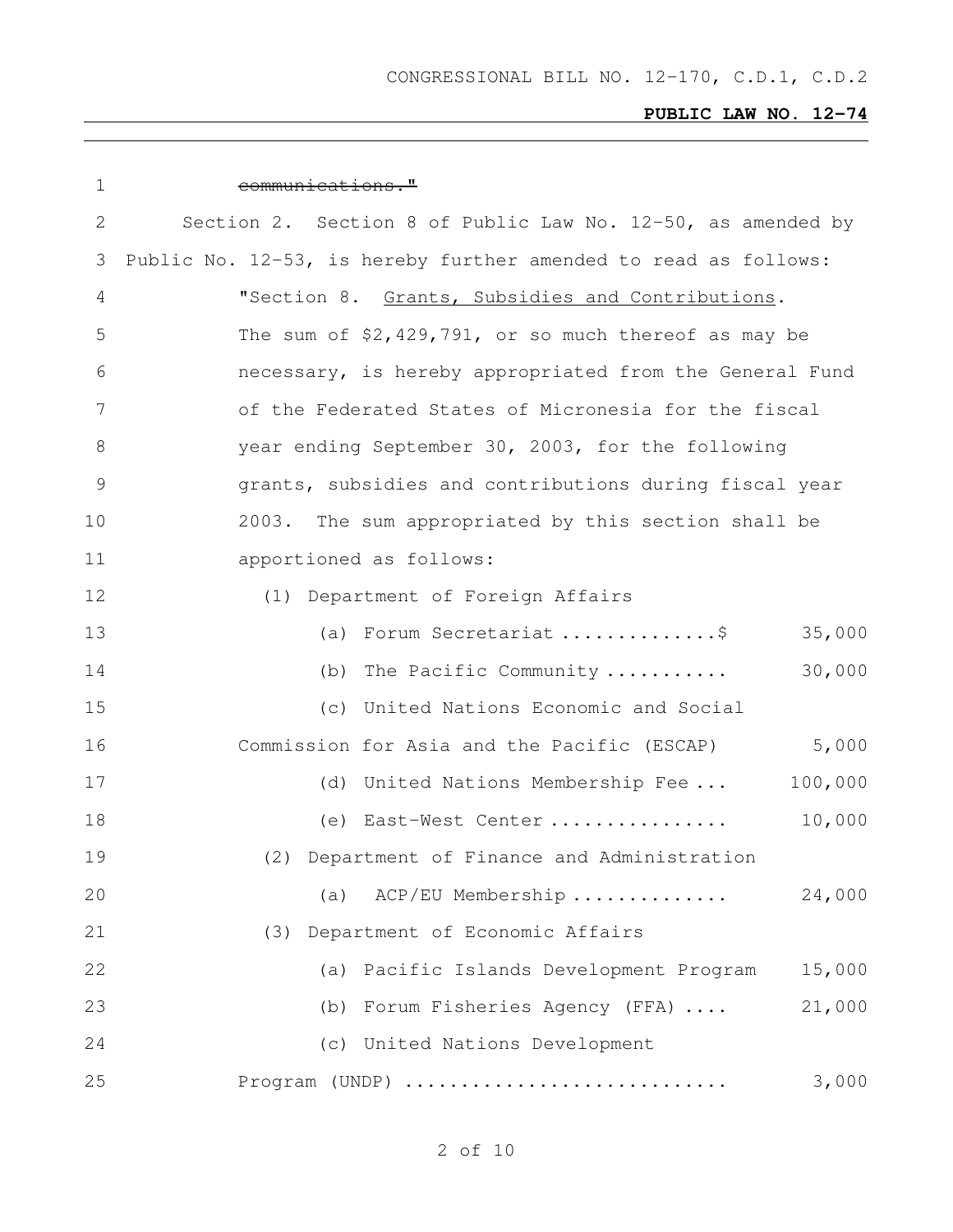| 1  | communications."                                                |
|----|-----------------------------------------------------------------|
| 2  | Section 2. Section 8 of Public Law No. 12-50, as amended by     |
| 3  | Public No. 12-53, is hereby further amended to read as follows: |
| 4  | "Section 8. Grants, Subsidies and Contributions.                |
| 5  | The sum of $$2,429,791$ , or so much thereof as may be          |
| 6  | necessary, is hereby appropriated from the General Fund         |
| 7  | of the Federated States of Micronesia for the fiscal            |
| 8  | year ending September 30, 2003, for the following               |
| 9  | grants, subsidies and contributions during fiscal year          |
| 10 | 2003. The sum appropriated by this section shall be             |
| 11 | apportioned as follows:                                         |
| 12 | (1) Department of Foreign Affairs                               |
| 13 | (a) Forum Secretariat \$<br>35,000                              |
| 14 | 30,000<br>(b) The Pacific Community                             |
| 15 | (c) United Nations Economic and Social                          |
| 16 | Commission for Asia and the Pacific (ESCAP)<br>5,000            |
| 17 | (d) United Nations Membership Fee<br>100,000                    |
| 18 | 10,000<br>(e) East-West Center                                  |
| 19 | (2) Department of Finance and Administration                    |
| 20 | 24,000<br>(a) ACP/EU Membership                                 |
| 21 | (3) Department of Economic Affairs                              |
| 22 | Pacific Islands Development Program<br>15,000<br>(a)            |
| 23 | 21,000<br>Forum Fisheries Agency (FFA)<br>(b)                   |
| 24 | (c) United Nations Development                                  |
| 25 | Program (UNDP)<br>3,000                                         |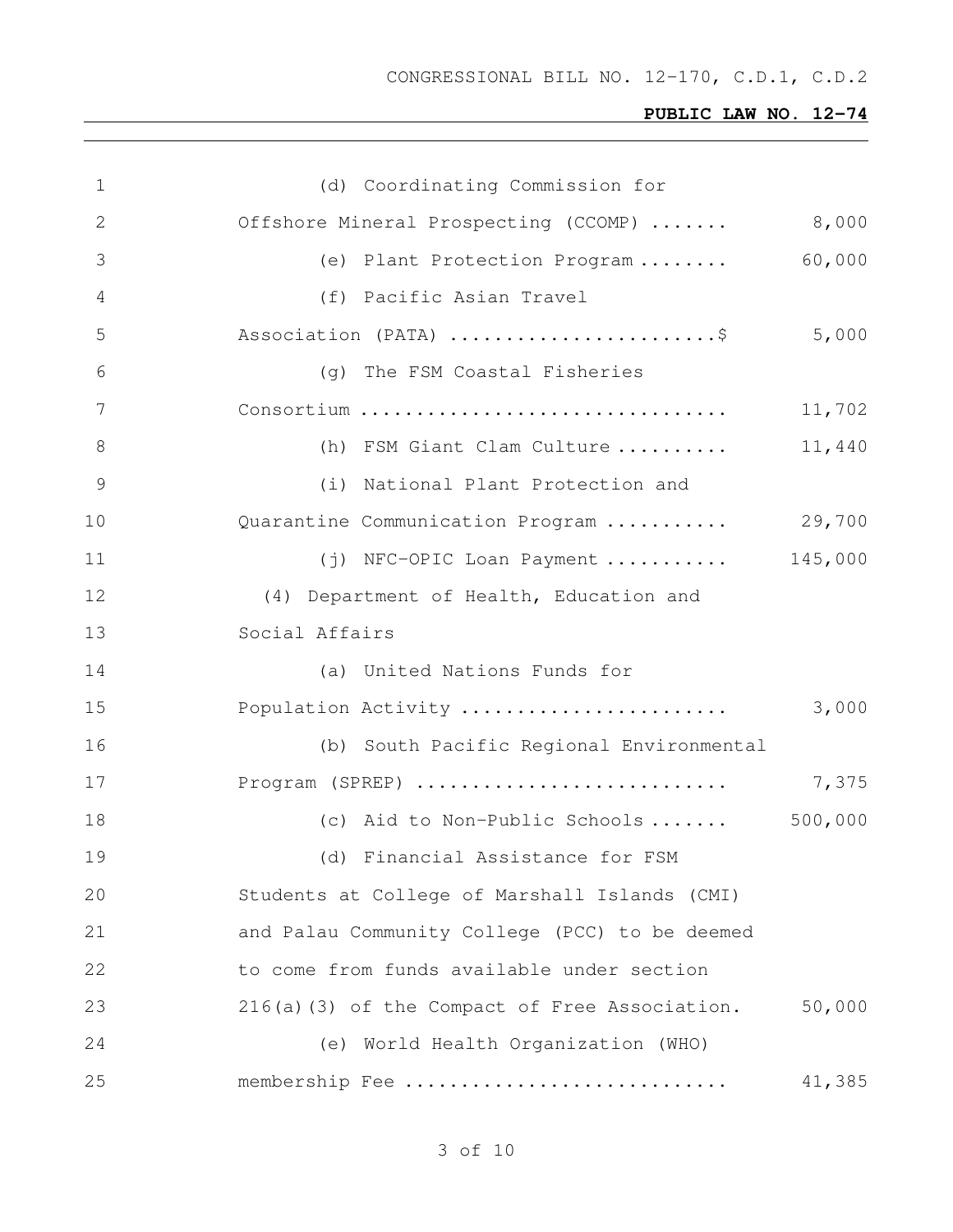| $\mathbf 1$     | (d) Coordinating Commission for                |         |
|-----------------|------------------------------------------------|---------|
| 2               | Offshore Mineral Prospecting (CCOMP)           | 8,000   |
| 3               | (e) Plant Protection Program                   | 60,000  |
| 4               | (f) Pacific Asian Travel                       |         |
| 5               | Association (PATA) \$                          | 5,000   |
| 6               | (q) The FSM Coastal Fisheries                  |         |
| $7\phantom{.0}$ | Consortium                                     | 11,702  |
| $8\,$           | (h) FSM Giant Clam Culture                     | 11,440  |
| $\mathcal{G}$   | (i) National Plant Protection and              |         |
| 10              | Quarantine Communication Program  29,700       |         |
| 11              | (j) NFC-OPIC Loan Payment  145,000             |         |
| 12              | (4) Department of Health, Education and        |         |
| 13              | Social Affairs                                 |         |
| 14              | (a) United Nations Funds for                   |         |
| 15              | Population Activity                            | 3,000   |
| 16              | (b) South Pacific Regional Environmental       |         |
| 17              | Program (SPREP)                                | 7,375   |
| 18              | (c) Aid to Non-Public Schools                  | 500,000 |
| 19              | (d) Financial Assistance for FSM               |         |
| 20              | Students at College of Marshall Islands (CMI)  |         |
| 21              | and Palau Community College (PCC) to be deemed |         |
| 22              | to come from funds available under section     |         |
| 23              | 216(a)(3) of the Compact of Free Association.  | 50,000  |
| 24              | (e) World Health Organization (WHO)            |         |
| 25              | membership Fee                                 | 41,385  |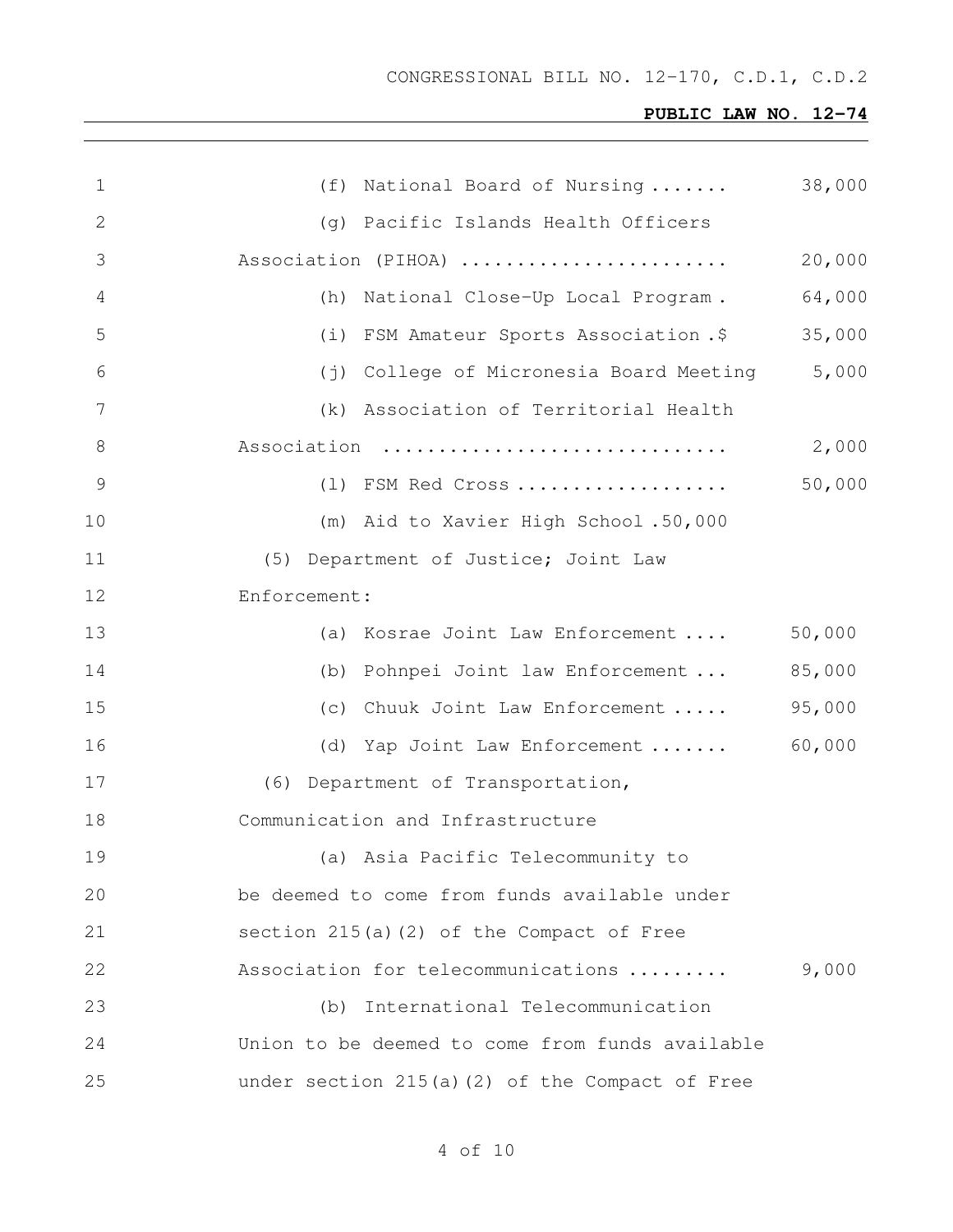# **PUBLIC LAW NO. 12-74**

| $\mathbf 1$  | (f) National Board of Nursing                   | 38,000 |
|--------------|-------------------------------------------------|--------|
| $\mathbf{2}$ | (g) Pacific Islands Health Officers             |        |
| 3            | Association (PIHOA)                             | 20,000 |
| 4            | (h) National Close-Up Local Program.            | 64,000 |
| 5            | (i) FSM Amateur Sports Association.\$           | 35,000 |
| 6            | (j) College of Micronesia Board Meeting         | 5,000  |
| 7            | (k) Association of Territorial Health           |        |
| $\,8\,$      | Association                                     | 2,000  |
| $\mathsf 9$  | (1) FSM Red Cross                               | 50,000 |
| 10           | (m) Aid to Xavier High School.50,000            |        |
| 11           | (5) Department of Justice; Joint Law            |        |
| 12           | Enforcement:                                    |        |
| 13           | (a) Kosrae Joint Law Enforcement                | 50,000 |
| 14           | (b) Pohnpei Joint law Enforcement               | 85,000 |
| 15           | (c) Chuuk Joint Law Enforcement                 | 95,000 |
| 16           | (d) Yap Joint Law Enforcement  60,000           |        |
| 17           | (6) Department of Transportation,               |        |
| 18           | Communication and Infrastructure                |        |
| 19           | (a) Asia Pacific Telecommunity to               |        |
| 20           | be deemed to come from funds available under    |        |
| 21           | section 215(a)(2) of the Compact of Free        |        |
| 22           | Association for telecommunications              | 9,000  |
| 23           | (b) International Telecommunication             |        |
| 24           | Union to be deemed to come from funds available |        |
| 25           | under section 215(a)(2) of the Compact of Free  |        |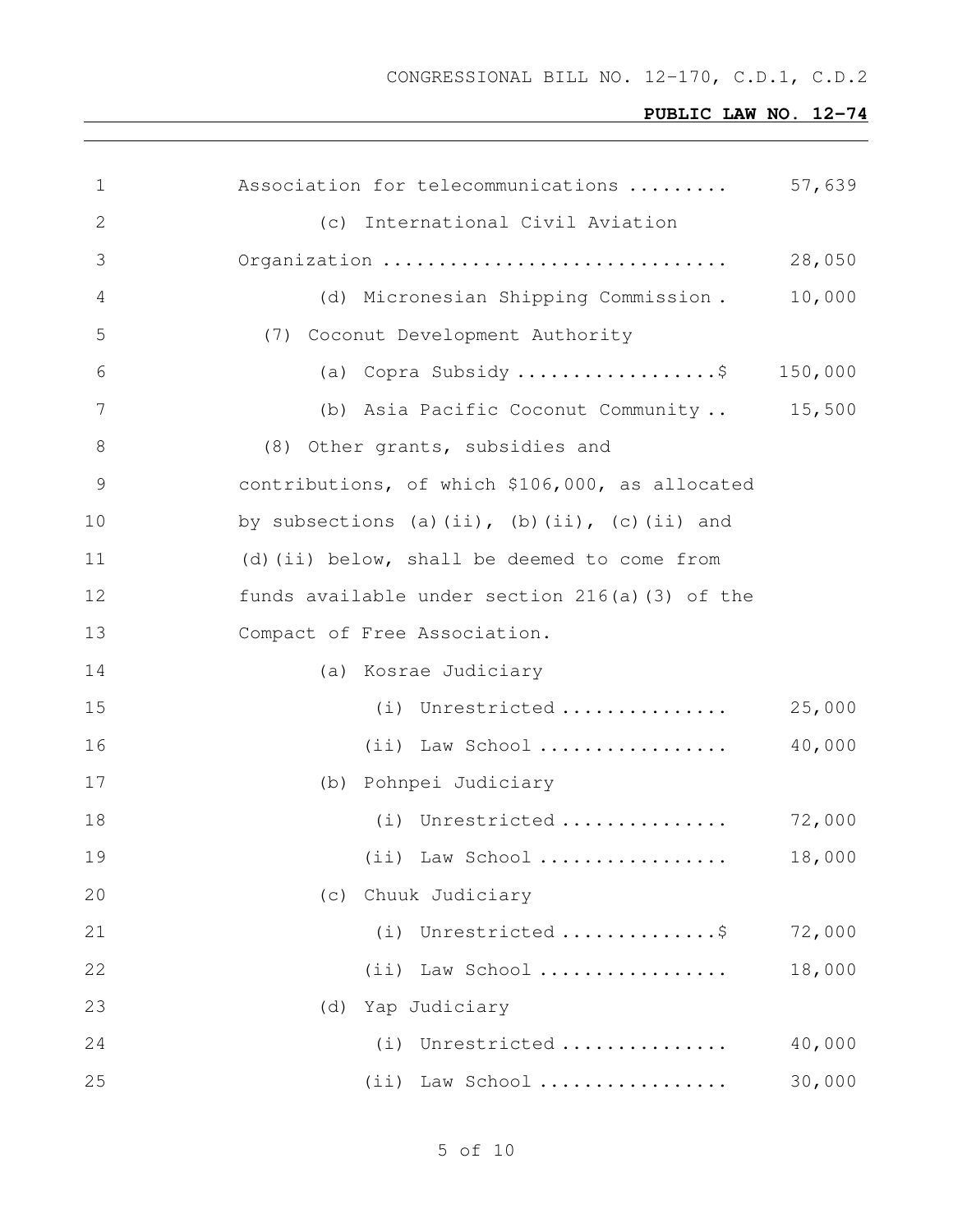| 1            | Association for telecommunications              | 57,639  |
|--------------|-------------------------------------------------|---------|
| $\mathbf{2}$ | (c) International Civil Aviation                |         |
| 3            | Organization                                    | 28,050  |
| 4            | (d) Micronesian Shipping Commission.            | 10,000  |
| 5            | (7) Coconut Development Authority               |         |
| 6            | (a) Copra Subsidy \$                            | 150,000 |
| 7            | (b) Asia Pacific Coconut Community 15,500       |         |
| 8            | (8) Other grants, subsidies and                 |         |
| 9            | contributions, of which \$106,000, as allocated |         |
| 10           | by subsections (a)(ii), (b)(ii), (c)(ii) and    |         |
| 11           | (d) (ii) below, shall be deemed to come from    |         |
| 12           | funds available under section 216(a)(3) of the  |         |
| 13           | Compact of Free Association.                    |         |
| 14           | (a) Kosrae Judiciary                            |         |
| 15           | (i) Unrestricted                                | 25,000  |
| 16           | $(i)$ Law School                                | 40,000  |
| 17           | (b) Pohnpei Judiciary                           |         |
| 18           | (i) Unrestricted                                | 72,000  |
| 19           | $(ii)$ Law School                               | 18,000  |
| 20           | Chuuk Judiciary<br>(C)                          |         |
| 21           | (i) Unrestricted \$                             | 72,000  |
| 22           | (ii) Law School                                 | 18,000  |
| 23           | Yap Judiciary<br>(d)                            |         |
| 24           | Unrestricted<br>(i)                             | 40,000  |
| 25           | (ii) Law School                                 | 30,000  |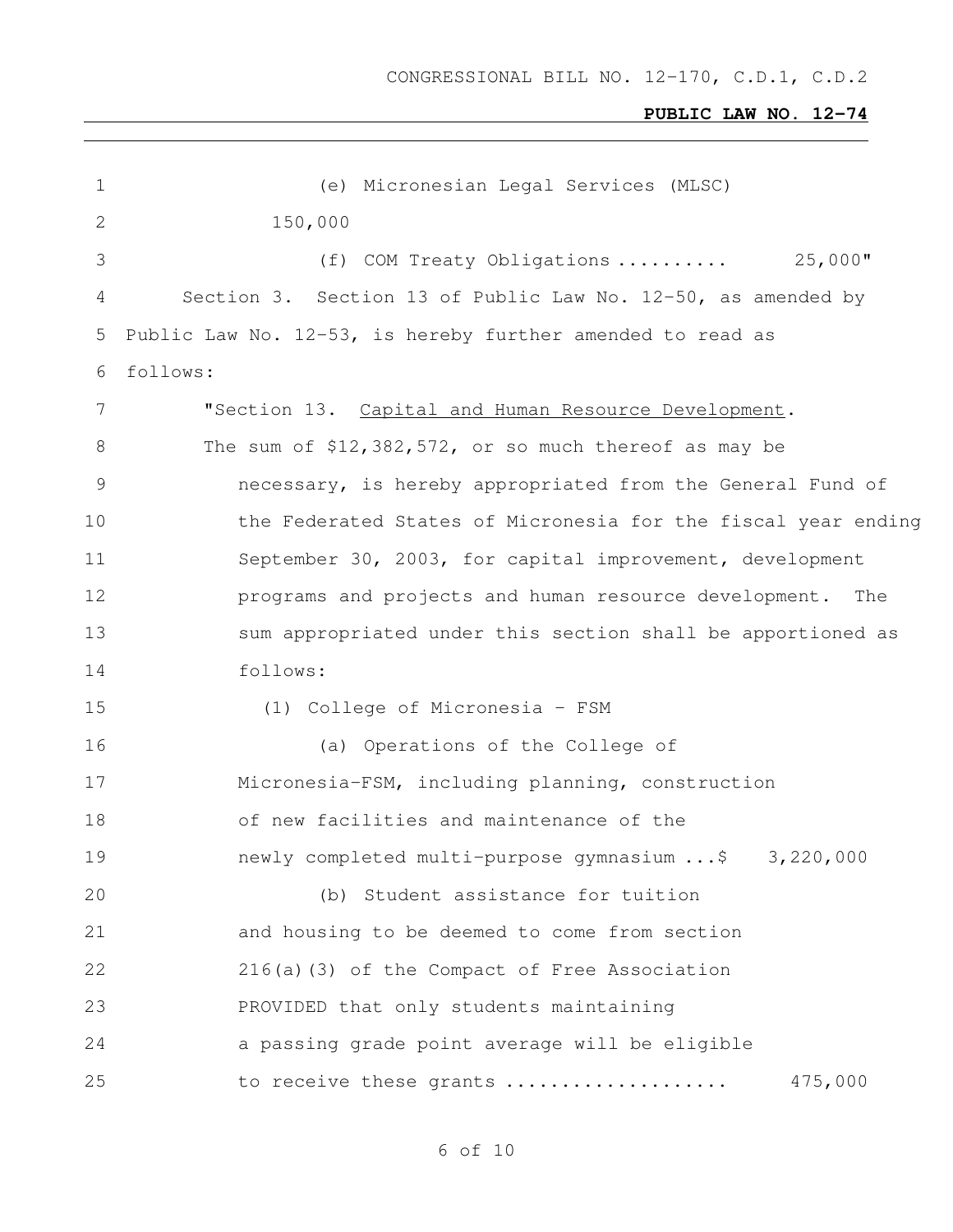# **PUBLIC LAW NO. 12-74**

| $\mathbf 1$     | (e) Micronesian Legal Services (MLSC)                         |
|-----------------|---------------------------------------------------------------|
| $\mathbf{2}$    | 150,000                                                       |
| 3               | (f) COM Treaty Obligations  25,000"                           |
| 4               | Section 3. Section 13 of Public Law No. 12-50, as amended by  |
| 5               | Public Law No. 12-53, is hereby further amended to read as    |
| 6               | follows:                                                      |
| $7\phantom{.0}$ | "Section 13. Capital and Human Resource Development.          |
| 8               | The sum of \$12,382,572, or so much thereof as may be         |
| $\mathcal{G}$   | necessary, is hereby appropriated from the General Fund of    |
| 10              | the Federated States of Micronesia for the fiscal year ending |
| 11              | September 30, 2003, for capital improvement, development      |
| 12              | programs and projects and human resource development. The     |
| 13              | sum appropriated under this section shall be apportioned as   |
| 14              | follows:                                                      |
| 15              | (1) College of Micronesia - FSM                               |
| 16              | (a) Operations of the College of                              |
| 17              | Micronesia-FSM, including planning, construction              |
| 18              | of new facilities and maintenance of the                      |
| 19              | newly completed multi-purpose qymnasium \$ 3,220,000          |
| 20              | (b) Student assistance for tuition                            |
| 21              | and housing to be deemed to come from section                 |
| 22              | 216(a)(3) of the Compact of Free Association                  |
| 23              | PROVIDED that only students maintaining                       |
| 24              | a passing grade point average will be eligible                |
| 25              | 475,000<br>to receive these grants                            |
|                 |                                                               |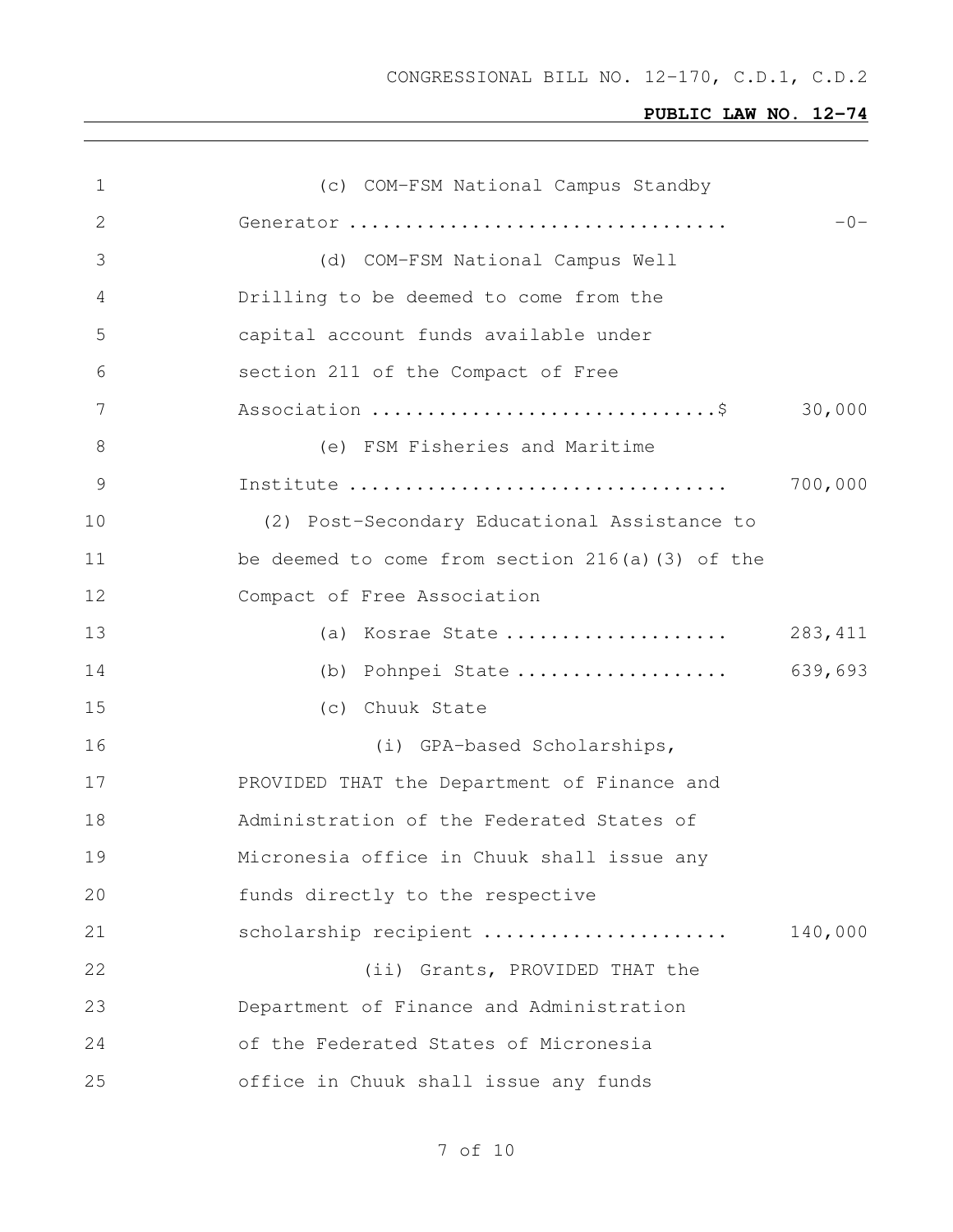| 1  | (c) COM-FSM National Campus Standby             |          |
|----|-------------------------------------------------|----------|
| 2  | Generator                                       | $-0-$    |
| 3  | (d) COM-FSM National Campus Well                |          |
| 4  | Drilling to be deemed to come from the          |          |
| 5  | capital account funds available under           |          |
| 6  | section 211 of the Compact of Free              |          |
| 7  |                                                 | 30,000   |
| 8  | (e) FSM Fisheries and Maritime                  |          |
| 9  |                                                 | 700,000  |
| 10 | (2) Post-Secondary Educational Assistance to    |          |
| 11 | be deemed to come from section 216(a)(3) of the |          |
| 12 | Compact of Free Association                     |          |
| 13 | (a) Kosrae State                                | 283, 411 |
| 14 | (b) Pohnpei State                               | 639,693  |
| 15 | (c) Chuuk State                                 |          |
| 16 | (i) GPA-based Scholarships,                     |          |
| 17 | PROVIDED THAT the Department of Finance and     |          |
| 18 | Administration of the Federated States of       |          |
| 19 | Micronesia office in Chuuk shall issue any      |          |
| 20 | funds directly to the respective                |          |
| 21 | scholarship recipient                           | 140,000  |
| 22 | (ii) Grants, PROVIDED THAT the                  |          |
| 23 | Department of Finance and Administration        |          |
| 24 | of the Federated States of Micronesia           |          |
| 25 | office in Chuuk shall issue any funds           |          |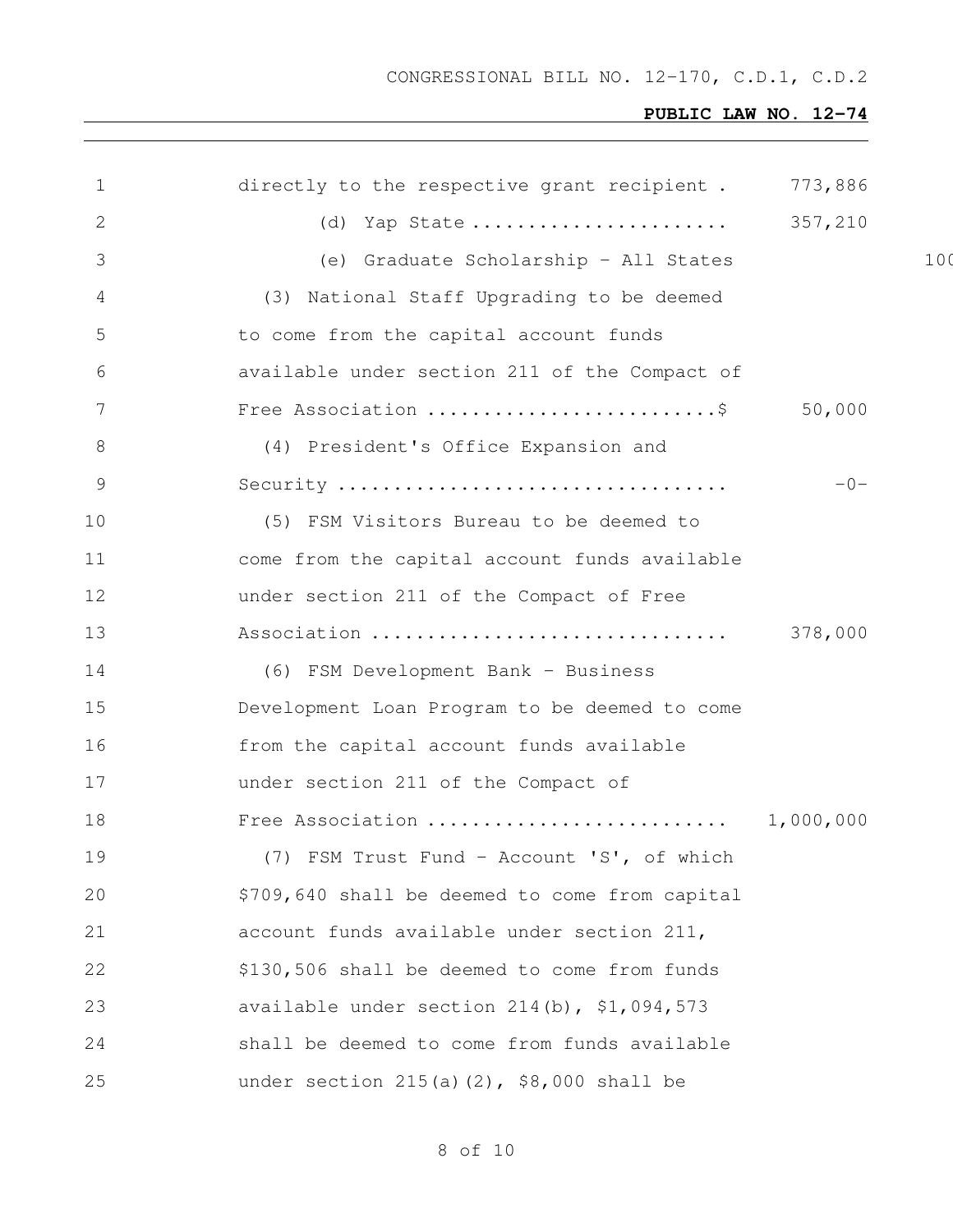# **PUBLIC LAW NO. 12-74**

| $\mathbf 1$ | directly to the respective grant recipient . 773,886 |         |     |
|-------------|------------------------------------------------------|---------|-----|
| 2           | (d) Yap State  357,210                               |         |     |
| 3           | (e) Graduate Scholarship - All States                |         | 100 |
| 4           | (3) National Staff Upgrading to be deemed            |         |     |
| 5           | to come from the capital account funds               |         |     |
| 6           | available under section 211 of the Compact of        |         |     |
| 7           | Free Association \$                                  | 50,000  |     |
| 8           | (4) President's Office Expansion and                 |         |     |
| $\mathsf 9$ |                                                      | $-0-$   |     |
| 10          | (5) FSM Visitors Bureau to be deemed to              |         |     |
| 11          | come from the capital account funds available        |         |     |
| 12          | under section 211 of the Compact of Free             |         |     |
| 13          | Association                                          | 378,000 |     |
| 14          | (6) FSM Development Bank - Business                  |         |     |
| 15          | Development Loan Program to be deemed to come        |         |     |
| 16          | from the capital account funds available             |         |     |
| 17          | under section 211 of the Compact of                  |         |     |
| 18          |                                                      |         |     |
| 19          | (7) FSM Trust Fund - Account 'S', of which           |         |     |
| 20          | \$709,640 shall be deemed to come from capital       |         |     |
| 21          | account funds available under section 211,           |         |     |
| 22          | \$130,506 shall be deemed to come from funds         |         |     |
| 23          | available under section 214(b), \$1,094,573          |         |     |
| 24          | shall be deemed to come from funds available         |         |     |
| 25          | under section $215(a)(2)$ , \$8,000 shall be         |         |     |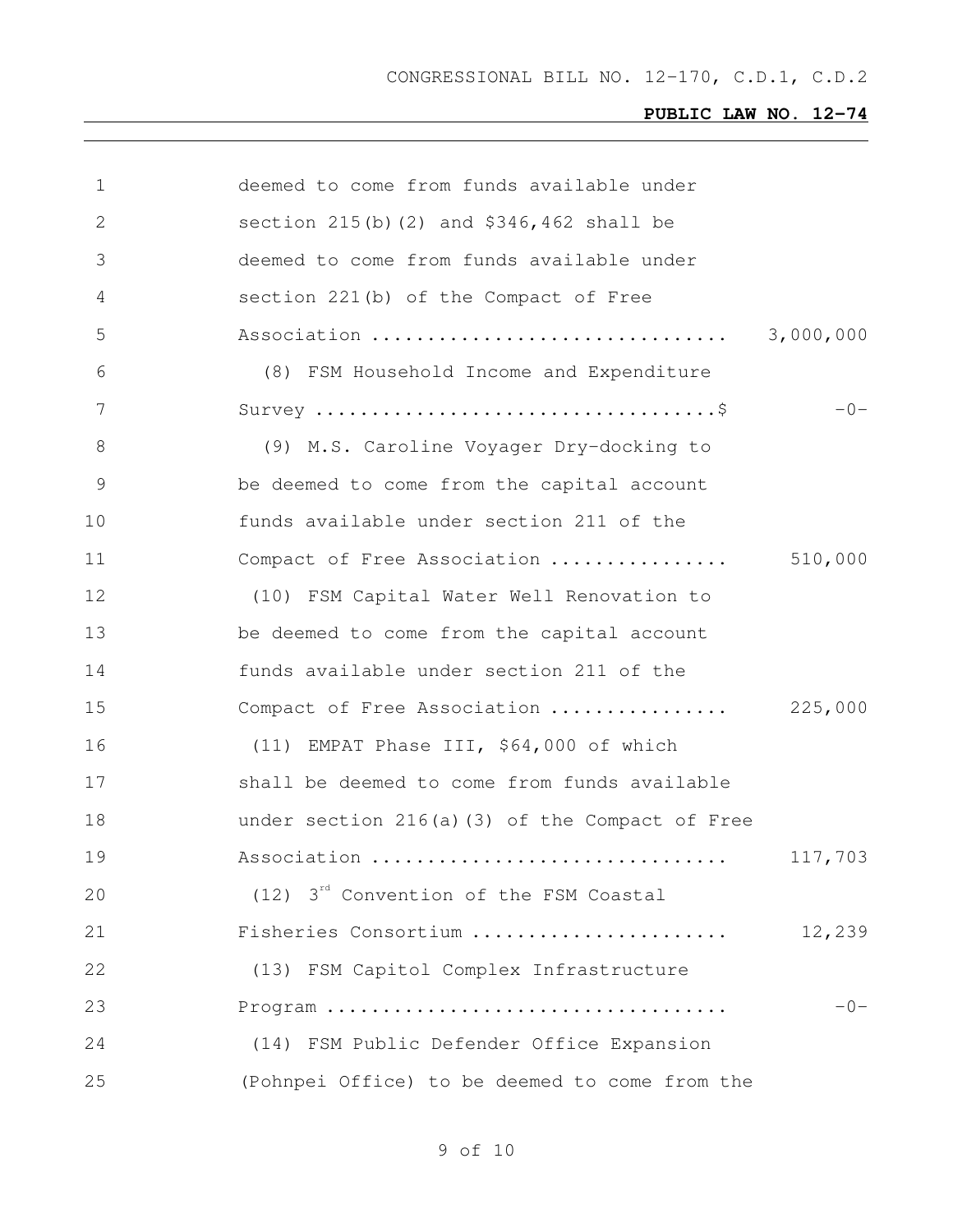| 1              | deemed to come from funds available under                                  |           |
|----------------|----------------------------------------------------------------------------|-----------|
| $\overline{2}$ | section 215(b)(2) and \$346,462 shall be                                   |           |
| 3              | deemed to come from funds available under                                  |           |
| 4              | section 221(b) of the Compact of Free                                      |           |
| 5              | Association                                                                | 3,000,000 |
| 6              | (8) FSM Household Income and Expenditure                                   |           |
| 7              | Survey $\dots\dots\dots\dots\dots\dots\dots\dots\dots\dots\dots\dots\dots$ | $-0-$     |
| 8              | (9) M.S. Caroline Voyager Dry-docking to                                   |           |
| $\mathcal{G}$  | be deemed to come from the capital account                                 |           |
| 10             | funds available under section 211 of the                                   |           |
| 11             | Compact of Free Association                                                | 510,000   |
| 12             | (10) FSM Capital Water Well Renovation to                                  |           |
| 13             | be deemed to come from the capital account                                 |           |
| 14             | funds available under section 211 of the                                   |           |
| 15             | Compact of Free Association                                                | 225,000   |
| 16             | (11) EMPAT Phase III, \$64,000 of which                                    |           |
| 17             | shall be deemed to come from funds available                               |           |
| 18             | under section 216(a)(3) of the Compact of Free                             |           |
| 19             | Association                                                                | 117,703   |
| 20             | $(12)$ 3 <sup>rd</sup> Convention of the FSM Coastal                       |           |
| 21             | Fisheries Consortium                                                       | 12,239    |
| 22             | (13) FSM Capitol Complex Infrastructure                                    |           |
| 23             |                                                                            | $-0-$     |
| 24             | (14) FSM Public Defender Office Expansion                                  |           |
| 25             | (Pohnpei Office) to be deemed to come from the                             |           |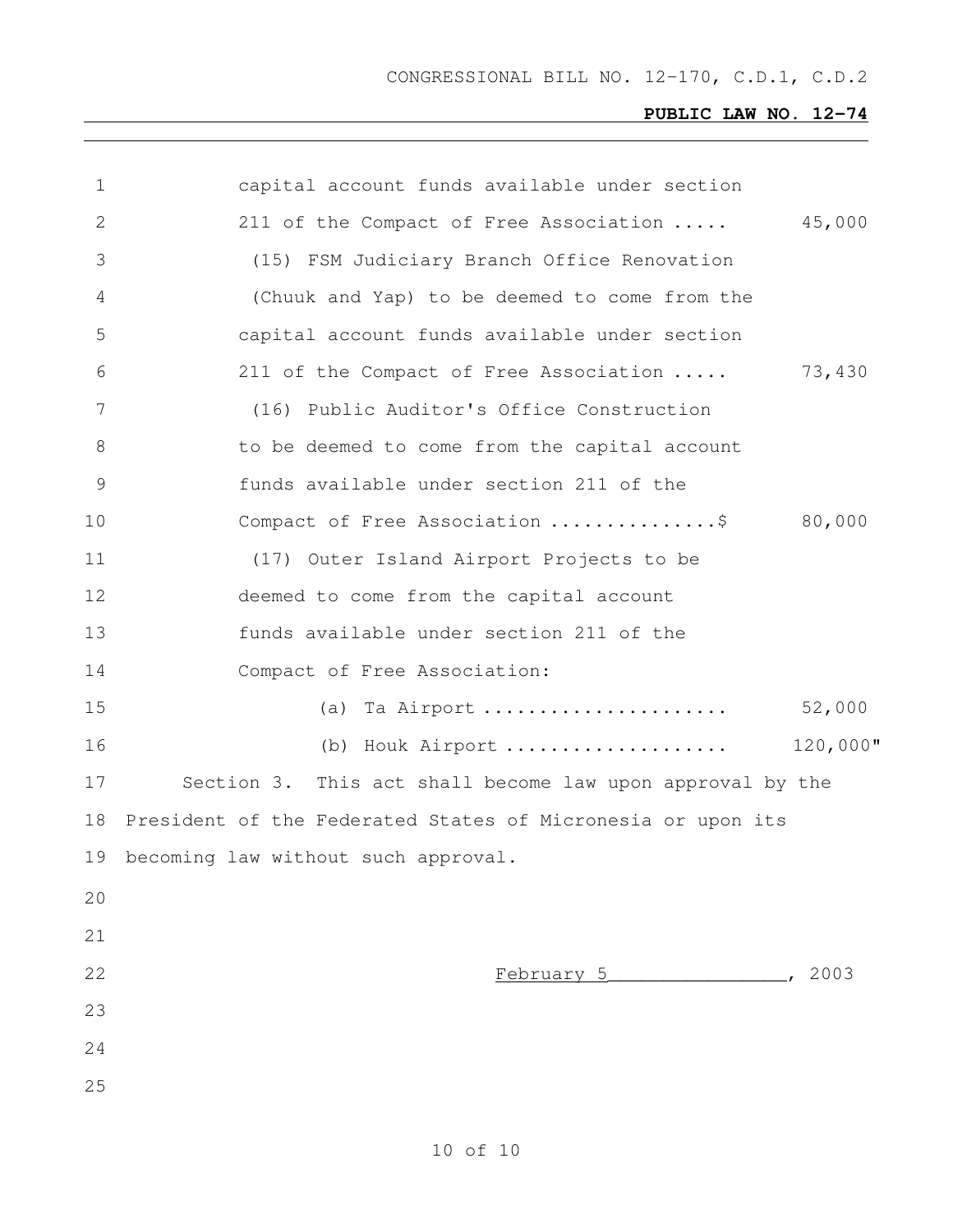| $\mathbf 1$   | capital account funds available under section               |
|---------------|-------------------------------------------------------------|
| 2             | 45,000<br>211 of the Compact of Free Association            |
| 3             | (15) FSM Judiciary Branch Office Renovation                 |
| 4             | (Chuuk and Yap) to be deemed to come from the               |
| 5             | capital account funds available under section               |
| 6             | 73,430<br>211 of the Compact of Free Association            |
| 7             | (16) Public Auditor's Office Construction                   |
| 8             | to be deemed to come from the capital account               |
| $\mathcal{G}$ | funds available under section 211 of the                    |
| 10            | 80,000<br>Compact of Free Association \$                    |
| 11            | (17) Outer Island Airport Projects to be                    |
| 12            | deemed to come from the capital account                     |
| 13            | funds available under section 211 of the                    |
| 14            | Compact of Free Association:                                |
| 15            | 52,000<br>(a) Ta Airport                                    |
| 16            | 120,000"<br>(b) Houk Airport                                |
| 17            | Section 3. This act shall become law upon approval by the   |
| 18            | President of the Federated States of Micronesia or upon its |
| 19            | becoming law without such approval.                         |
| 20            |                                                             |
| 21            |                                                             |
| 22            | 2003<br>February 5 [1994]                                   |
| 23            |                                                             |
| 24            |                                                             |
| 25            |                                                             |